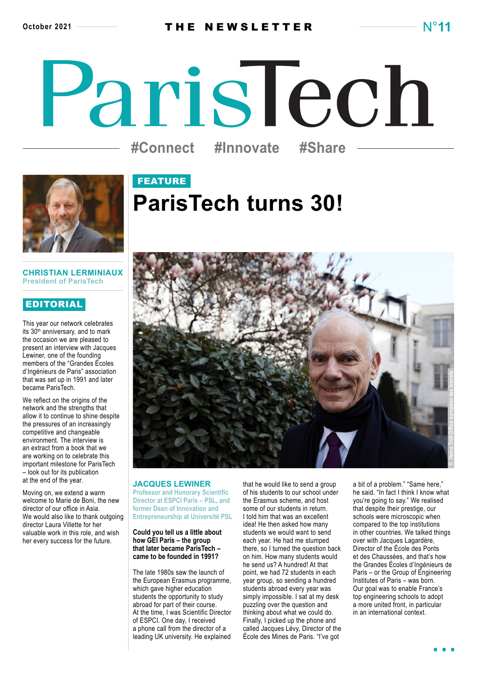# ParisTech **#Connect #Innovate #Share**



## FEATURE **ParisTech turns 30!**

#### **CHRISTIAN LERMINIAUX President of ParisTech**

#### EDITORIAL

This year our network celebrates its 30<sup>th</sup> anniversary, and to mark the occasion we are pleased to present an interview with Jacques Lewiner, one of the founding members of the "Grandes Écoles d'Ingénieurs de Paris" association that was set up in 1991 and later became ParisTech.

We reflect on the origins of the network and the strengths that allow it to continue to shine despite the pressures of an increasingly competitive and changeable environment. The interview is an extract from a book that we are working on to celebrate this important milestone for ParisTech – look out for its publication at the end of the year.

Moving on, we extend a warm welcome to Marie de Boni, the new director of our office in Asia. We would also like to thank outgoing director Laura Villette for her valuable work in this role, and wish her every success for the future.



#### **JACQUES LEWINER**

**Professor and Honorary Scientific Director at ESPCI Paris – PSL, and former Dean of Innovation and Entrepreneurship at Université PSL**

#### **Could you tell us a little about how GEI Paris – the group that later became ParisTech – came to be founded in 1991?**

The late 1980s saw the launch of the European Erasmus programme, which gave higher education students the opportunity to study abroad for part of their course. At the time, I was Scientific Director of ESPCI. One day, I received a phone call from the director of a leading UK university. He explained

that he would like to send a group of his students to our school under the Erasmus scheme, and host some of our students in return. I told him that was an excellent idea! He then asked how many students we would want to send each year. He had me stumped there, so I turned the question back on him. How many students would he send us? A hundred! At that point, we had 72 students in each year group, so sending a hundred students abroad every year was simply impossible. I sat at my desk puzzling over the question and thinking about what we could do. Finally, I picked up the phone and called Jacques Lévy, Director of the École des Mines de Paris. "I've got

a bit of a problem." "Same here," he said. "In fact I think I know what you're going to say." We realised that despite their prestige, our schools were microscopic when compared to the top institutions in other countries. We talked things over with Jacques Lagardère, Director of the École des Ponts et des Chaussées, and that's how the Grandes Écoles d'Ingénieurs de Paris – or the Group of Engineering Institutes of Paris – was born. Our goal was to enable France's top engineering schools to adopt a more united front, in particular in an international context.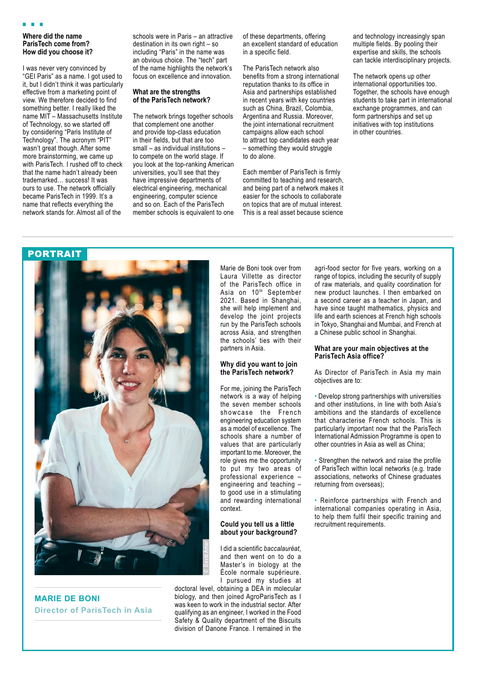#### **Where did the name ParisTech come from? How did you choose it?**

I was never very convinced by "GEI Paris" as a name. I got used to it, but I didn't think it was particularly effective from a marketing point of view. We therefore decided to find something better. I really liked the name MIT – Massachusetts Institute of Technology, so we started off by considering "Paris Institute of Technology". The acronym "PIT" wasn't great though. After some more brainstorming, we came up with ParisTech. I rushed off to check that the name hadn't already been trademarked… success! It was ours to use. The network officially became ParisTech in 1999. It's a name that reflects everything the network stands for. Almost all of the

schools were in Paris – an attractive destination in its own right – so including "Paris" in the name was an obvious choice. The "tech" part of the name highlights the network's focus on excellence and innovation.

#### **What are the strengths of the ParisTech network?**

The network brings together schools that complement one another and provide top-class education in their fields, but that are too small – as individual institutions – to compete on the world stage. If you look at the top-ranking American universities, you'll see that they have impressive departments of electrical engineering, mechanical engineering, computer science and so on. Each of the ParisTech member schools is equivalent to one of these departments, offering an excellent standard of education in a specific field.

The ParisTech network also benefits from a strong international reputation thanks to its office in Asia and partnerships established in recent years with key countries such as China, Brazil, Colombia, Argentina and Russia. Moreover, the joint international recruitment campaigns allow each school to attract top candidates each year – something they would struggle to do alone.

Each member of ParisTech is firmly committed to teaching and research, and being part of a network makes it easier for the schools to collaborate on topics that are of mutual interest. This is a real asset because science and technology increasingly span multiple fields. By pooling their expertise and skills, the schools can tackle interdisciplinary projects.

The network opens up other international opportunities too. Together, the schools have enough students to take part in international exchange programmes, and can form partnerships and set up initiatives with top institutions in other countries.



**MARIE DE BONI Director of ParisTech in Asia**

Marie de Boni took over from Laura Villette as director of the ParisTech office in Asia on 10th September 2021. Based in Shanghai, she will help implement and develop the joint projects run by the ParisTech schools across Asia, and strengthen the schools' ties with their partners in Asia.

#### **Why did you want to join the ParisTech network?**

For me, joining the ParisTech network is a way of helping the seven member schools showcase the French engineering education system as a model of excellence. The schools share a number of values that are particularly important to me. Moreover, the role gives me the opportunity to put my two areas of professional experience – engineering and teaching – to good use in a stimulating and rewarding international context.

#### **Could you tell us a little about your background?**

I did a scientific *baccalauréat*, and then went on to do a Master's in biology at the École normale supérieure. I pursued my studies at

doctoral level, obtaining a DEA in molecular biology, and then joined AgroParisTech as I was keen to work in the industrial sector. After qualifying as an engineer, I worked in the Food Safety & Quality department of the Biscuits division of Danone France. I remained in the

agri-food sector for five years, working on a range of topics, including the security of supply of raw materials, and quality coordination for new product launches. I then embarked on a second career as a teacher in Japan, and have since taught mathematics, physics and life and earth sciences at French high schools in Tokyo, Shanghai and Mumbai, and French at a Chinese public school in Shanghai.

#### **What are your main objectives at the ParisTech Asia office?**

As Director of ParisTech in Asia my main objectives are to:

• Develop strong partnerships with universities and other institutions, in line with both Asia's ambitions and the standards of excellence that characterise French schools. This is particularly important now that the ParisTech International Admission Programme is open to other countries in Asia as well as China;

• Strengthen the network and raise the profile of ParisTech within local networks (e.g. trade associations, networks of Chinese graduates returning from overseas);

• Reinforce partnerships with French and international companies operating in Asia, to help them fulfil their specific training and recruitment requirements.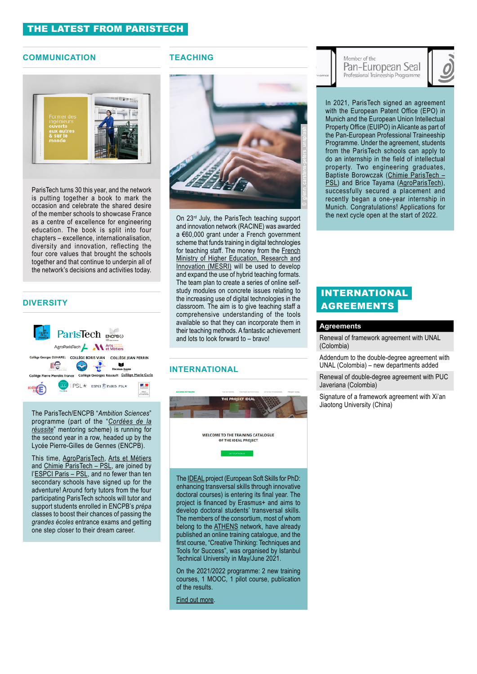#### **COMMUNICATION**



ParisTech turns 30 this year, and the network is putting together a book to mark the occasion and celebrate the shared desire of the member schools to showcase France as a centre of excellence for engineering education. The book is split into four chapters – excellence, internationalisation, diversity and innovation, reflecting the four core values that brought the schools together and that continue to underpin all of the network's decisions and activities today.

#### **DIVERSITY**



The ParisTech/ENCPB "*Ambition Sciences*" programme (part of the "*[Cordées de la](https://paristech.fr/en/equal-opportunities-paristech/cordees-de-la-reussite-partnerships)  [réussite](https://paristech.fr/en/equal-opportunities-paristech/cordees-de-la-reussite-partnerships)*" mentoring scheme) is running for the second year in a row, headed up by the Lycée Pierre-Gilles de Gennes (ENCPB).

This time, [AgroParisTech](http://www2.agroparistech.fr/Welcome-to-AgroParisTech.html), [Arts et Métiers](https://artsetmetiers.fr/en) and [Chimie ParisTech – PSL](https://www.chimieparistech.psl.eu/en/), are joined by l['ESPCI Paris – PSL,](https://www.espci.psl.eu/en/) and no fewer than ten secondary schools have signed up for the adventure! Around forty tutors from the four participating ParisTech schools will tutor and support students enrolled in ENCPB's *prépa* classes to boost their chances of passing the *grandes écoles* entrance exams and getting one step closer to their dream career.

#### **TEACHING**



On 23<sup>rd</sup> July, the ParisTech teaching support and innovation network (RACINE) was awarded a €60,000 grant under a French government scheme that funds training in digital technologies for teaching staff. The money from the [French](https://www.enseignementsup-recherche.gouv.fr/) [Ministry of Higher Education, Research and](https://www.enseignementsup-recherche.gouv.fr/) [Innovation \(MESRI\)](https://www.enseignementsup-recherche.gouv.fr/) will be used to develop and expand the use of hybrid teaching formats. The team plan to create a series of online selfstudy modules on concrete issues relating to the increasing use of digital technologies in the classroom. The aim is to give teaching staff a comprehensive understanding of the tools available so that they can incorporate them in their teaching methods. A fantastic achievement and lots to look forward to – bravo!

#### **INTERNATIONAL**



The [IDEAL](https://paristech.fr/en/ideal) project (European Soft Skills for PhD: enhancing transversal skills through innovative doctoral courses) is entering its final year. The project is financed by Erasmus+ and aims to develop doctoral students' transversal skills. The members of the consortium, most of whom belong to the **ATHENS** network, have already published an online training catalogue, and the first course, "Creative Thinking: Techniques and Tools for Success", was organised by Istanbul Technical University in May/June 2021.

On the 2021/2022 programme: 2 new training courses, 1 MOOC, 1 pilot course, publication of the results.

[Find out more.](https://www.paristech.fr/en/actualites/innovating-training-doctoral-candidates)

#### Member of the Pan-European Seal Professional Traineeship Programme

In 2021, ParisTech signed an agreement with the European Patent Office (EPO) in Munich and the European Union Intellectual Property Office (EUIPO) in Alicante as part of the Pan-European Professional Traineeship Programme. Under the agreement, students from the ParisTech schools can apply to do an internship in the field of intellectual property. Two engineering graduates, Baptiste Borowczak [\(Chimie ParisTech –](https://www.chimieparistech.psl.eu/en/)  [PSL](https://www.chimieparistech.psl.eu/en/)) and Brice Tayama ([AgroParisTech\)](http://www2.agroparistech.fr/Welcome-to-AgroParisTech.html), successfully secured a placement and recently began a one-year internship in Munich. Congratulations! Applications for the next cycle open at the start of 2022.

#### INTERNATIONAL AGREEMENTS

#### **Agreements**

Renewal of framework agreement with UNAL (Colombia)

Addendum to the double-degree agreement with UNAL (Colombia) – new departments added

Renewal of double-degree agreement with PUC Javeriana (Colombia)

Signature of a framework agreement with Xi'an Jiaotong University (China)